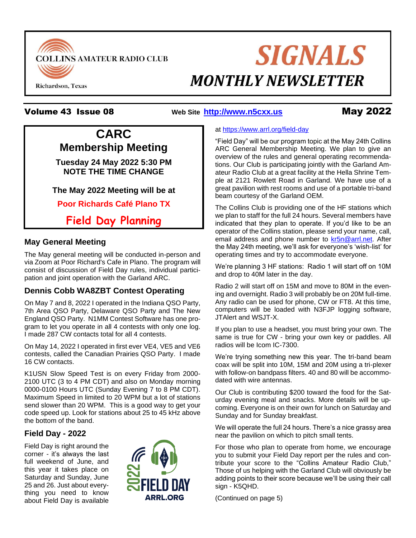

# **SIGNALS MONTHLY NEWSLETTER**

#### Volume 43 Issue 08 **Web Site [http://www.n5cxx.us](http://www.n5cxx.us/)**May 2022

## **CARC Membership Meeting Tuesday 24 May 2022 5:30 PM NOTE THE TIME CHANGE**

#### **The May 2022 Meeting will be at**

**Poor Richards Café Plano TX**

**Field Day Planning**

#### **May General Meeting**

The May general meeting will be conducted in-person and via Zoom at Poor Richard's Cafe in Plano. The program will consist of discussion of Field Day rules, individual participation and joint operation with the Garland ARC.

### **Dennis Cobb WA8ZBT Contest Operating**

On May 7 and 8, 2022 I operated in the Indiana QSO Party, 7th Area QSO Party, Delaware QSO Party and The New England QSO Party. N1MM Contest Software has one program to let you operate in all 4 contests with only one log. I made 287 CW contacts total for all 4 contests.

On May 14, 2022 I operated in first ever VE4, VE5 and VE6 contests, called the Canadian Prairies QSO Party. I made 16 CW contacts.

K1USN Slow Speed Test is on every Friday from 2000- 2100 UTC (3 to 4 PM CDT) and also on Monday morning 0000-0100 Hours UTC (Sunday Evening 7 to 8 PM CDT). Maximum Speed in limited to 20 WPM but a lot of stations send slower than 20 WPM. This is a good way to get your code speed up. Look for stations about 25 to 45 kHz above the bottom of the band.

#### **Field Day - 2022**

Field Day is right around the corner - it's always the last full weekend of June, and this year it takes place on Saturday and Sunday, June 25 and 26. Just about everything you need to know about Field Day is available



#### at<https://www.arrl.org/field-day>

"Field Day" will be our program topic at the May 24th Collins ARC General Membership Meeting. We plan to give an overview of the rules and general operating recommendations. Our Club is participating jointly with the Garland Amateur Radio Club at a great facility at the Hella Shrine Temple at 2121 Rowlett Road in Garland. We have use of a great pavilion with rest rooms and use of a portable tri-band beam courtesy of the Garland OEM.

The Collins Club is providing one of the HF stations which we plan to staff for the full 24 hours. Several members have indicated that they plan to operate. If you'd like to be an operator of the Collins station, please send your name, call, email address and phone number to kr5n@arrl.net. After the May 24th meeting, we'll ask for everyone's 'wish-list' for operating times and try to accommodate everyone.

We're planning 3 HF stations: Radio 1 will start off on 10M and drop to 40M later in the day.

Radio 2 will start off on 15M and move to 80M in the evening and overnight. Radio 3 will probably be on 20M full-time. Any radio can be used for phone, CW or FT8. At this time, computers will be loaded with N3FJP logging software, JTAlert and WSJT-X.

If you plan to use a headset, you must bring your own. The same is true for CW - bring your own key or paddles. All radios will be Icom IC-7300.

We're trying something new this year. The tri-band beam coax will be split into 10M, 15M and 20M using a tri-plexer with follow-on bandpass filters. 40 and 80 will be accommodated with wire antennas.

Our Club is contributing \$200 toward the food for the Saturday evening meal and snacks. More details will be upcoming. Everyone is on their own for lunch on Saturday and Sunday and for Sunday breakfast.

We will operate the full 24 hours. There's a nice grassy area near the pavilion on which to pitch small tents.

For those who plan to operate from home, we encourage you to submit your Field Day report per the rules and contribute your score to the "Collins Amateur Radio Club," Those of us helping with the Garland Club will obviously be adding points to their score because we'll be using their call sign - K5QHD.

(Continued on page 5)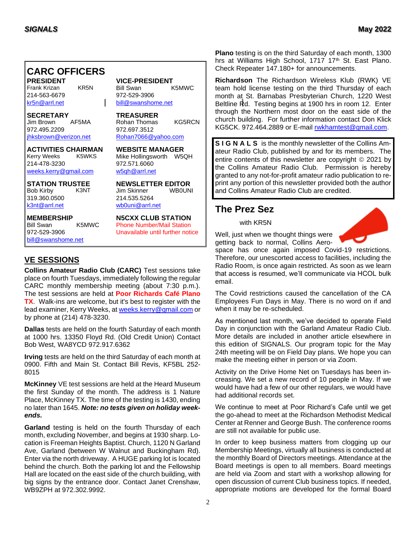### **CARC OFFICERS**

Frank Krizan KR5N Bill Swan 214-563-6679 972-529-3906 [kr5n@arrl.net](mailto:kr5n@arrl.net) [bill@swanshome.net](file:///C:/Users/James%20Skinner/Documents/CARC/SignalsArchives/201909%20Signals/bill@swanshome.net)

**SECRETARY TREASURER** 972.495.2209 972.697.3512 ihksbrown@verizon.net [Rohan7066@yahoo.com](file:///C:/Users/James%20Skinner/Documents/RCARC/SignalsArchives/201803%20Signals/Rohan7066@yahoo.com)

**ACTIVITIES CHAIRMAN WEBSITE MANAGER** 214-478-3230 972.571.6060 [weeks.kerry@gmail.com](mailto:kr1zan@arrl.net) [w5qh@arrl.net](mailto:w5qh@arrl.net)

Bob Kirby K3NT Jim Skinner 319.360.0500 214.535.5264

[bill@swanshome.net](file:///C:/Users/James%20Skinner/Documents/CARC/SignalsArchives/201909%20Signals/bill@swanshome.net)

**PRESIDENT VICE-PRESIDENT**

Rohan Thomas KG5RCN

Mike Hollingsworth W5QH

**STATION TRUSTEE NEWSLETTER EDITOR** [wb0uni@arrl.net](file:///C:/Downloads/JHB/AppData/Local/Documents%20and%20Settings/James%20Skinner/Briefcase/RCARC/SignalsArchives/201010%20Signals/wb0uni@arrl.net)

**MEMBERSHIP N5CXX CLUB STATION** Bill Swan K5MWC Phone Number/Mail Station 972-529-3906 Unavailable until further notice

#### **VE SESSIONS**

**Collins Amateur Radio Club (CARC)** Test sessions take place on fourth Tuesdays, immediately following the regular CARC monthly membership meeting (about 7:30 p.m.). The test sessions are held at **Poor Richards Café Plano TX**. Walk-ins are welcome, but it's best to register with the lead examiner, Kerry Weeks, at [weeks.kerry@gmail.com](file:///C:/Users/James%20Skinner/Documents/CARC/SignalsArchives/201905%20Signals/weeks.kerry@gmail.com) or by phone at (214) 478-3230.

**Dallas** tests are held on the fourth Saturday of each month at 1000 hrs. 13350 Floyd Rd. (Old Credit Union) Contact Bob West, WA8YCD 972.917.6362

**Irving** tests are held on the third Saturday of each month at 0900. Fifth and Main St. Contact Bill Revis, KF5BL 252- 8015

**McKinney** VE test sessions are held at the Heard Museum the first Sunday of the month. The address is 1 Nature Place, McKinney TX. The time of the testing is 1430, ending no later than 1645. *Note: no tests given on holiday weekends.*

**Garland** testing is held on the fourth Thursday of each month, excluding November, and begins at 1930 sharp. Location is Freeman Heights Baptist. Church, 1120 N Garland Ave, Garland (between W Walnut and Buckingham Rd). Enter via the north driveway. A HUGE parking lot is located behind the church. Both the parking lot and the Fellowship Hall are located on the east side of the church building, with big signs by the entrance door. Contact Janet Crenshaw, WB9ZPH at 972.302.9992.

**Plano** testing is on the third Saturday of each month, 1300 hrs at Williams High School, 1717 17<sup>th</sup> St. East Plano. Check Repeater 147.180+ for announcements.

**Richardson** The Richardson Wireless Klub (RWK) VE team hold license testing on the third Thursday of each month at St. Barnabas Presbyterian Church, 1220 West Beltline Rd. Testing begins at 1900 hrs in room 12. Enter through the Northern most door on the east side of the church building. For further information contact Don Klick KG5CK. 972.464.2889 or E-mail [rwkhamtest@gmail.com.](mailto:rwkhamtest@gmail.com)

**S I G N A L S** is the monthly newsletter of the Collins Amateur Radio Club, published by and for its members. The entire contents of this newsletter are copyright © 2021 by the Collins Amateur Radio Club. Permission is hereby granted to any not-for-profit amateur radio publication to reprint any portion of this newsletter provided both the author and Collins Amateur Radio Club are credited.

#### **The Prez Sez**

with KR5N

Well, just when we thought things were getting back to normal, Collins Aero-

space has once again imposed Covid-19 restrictions. Therefore, our unescorted access to facilities, including the Radio Room, is once again restricted. As soon as we learn that access is resumed, we'll communicate via HCOL bulk email.

The Covid restrictions caused the cancellation of the CA Employees Fun Days in May. There is no word on if and when it may be re-scheduled.

As mentioned last month, we've decided to operate Field Day in conjunction with the Garland Amateur Radio Club. More details are included in another article elsewhere in this edition of SIGNALS. Our program topic for the May 24th meeting will be on Field Day plans. We hope you can make the meeting either in person or via Zoom.

Activity on the Drive Home Net on Tuesdays has been increasing. We set a new record of 10 people in May. If we would have had a few of our other regulars, we would have had additional records set.

We continue to meet at Poor Richard's Cafe until we get the go-ahead to meet at the Richardson Methodist Medical Center at Renner and George Bush. The conference rooms are still not available for public use.

In order to keep business matters from clogging up our Membership Meetings, virtually all business is conducted at the monthly Board of Directors meetings. Attendance at the Board meetings is open to all members. Board meetings are held via Zoom and start with a workshop allowing for open discussion of current Club business topics. If needed, appropriate motions are developed for the formal Board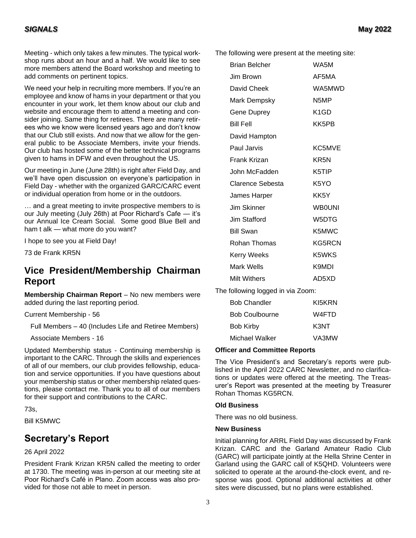#### *SIGNALS* **May 2022**

Meeting - which only takes a few minutes. The typical workshop runs about an hour and a half. We would like to see more members attend the Board workshop and meeting to add comments on pertinent topics.

We need your help in recruiting more members. If you're an employee and know of hams in your department or that you encounter in your work, let them know about our club and website and encourage them to attend a meeting and consider joining. Same thing for retirees. There are many retirees who we know were licensed years ago and don't know that our Club still exists. And now that we allow for the general public to be Associate Members, invite your friends. Our club has hosted some of the better technical programs given to hams in DFW and even throughout the US.

Our meeting in June (June 28th) is right after Field Day, and we'll have open discussion on everyone's participation in Field Day - whether with the organized GARC/CARC event or individual operation from home or in the outdoors.

… and a great meeting to invite prospective members to is our July meeting (July 26th) at Poor Richard's Cafe — it's our Annual Ice Cream Social. Some good Blue Bell and ham t alk — what more do you want?

I hope to see you at Field Day!

73 de Frank KR5N

#### **Vice President/Membership Chairman Report**

**Membership Chairman Report** – No new members were added during the last reporting period.

Current Membership - 56

Full Members – 40 (Includes Life and Retiree Members)

Associate Members - 16

Updated Membership status - Continuing membership is important to the CARC. Through the skills and experiences of all of our members, our club provides fellowship, education and service opportunities. If you have questions about your membership status or other membership related questions, please contact me. Thank you to all of our members for their support and contributions to the CARC.

73s,

Bill K5MWC

#### **Secretary's Report**

#### 26 April 2022

President Frank Krizan KR5N called the meeting to order at 1730. The meeting was in-person at our meeting site at Poor Richard's Café in Plano. Zoom access was also provided for those not able to meet in person.

The following were present at the meeting site:

| <b>Brian Belcher</b>              | WA5M              |
|-----------------------------------|-------------------|
| Jim Brown                         | AF5MA             |
| David Cheek                       | WA5MWD            |
| Mark Dempsky                      | N <sub>5</sub> MP |
| <b>Gene Duprey</b>                | K <sub>1</sub> GD |
| <b>Bill Fell</b>                  | KK5PB             |
| David Hampton                     |                   |
| Paul Jarvis                       | KC5MVE            |
| Frank Krizan                      | KR <sub>5N</sub>  |
| John McFadden                     | K5TIP             |
| Clarence Sebesta                  | K <sub>5</sub> YO |
| James Harper                      | KK5Y              |
| Jim Skinner                       | <b>WB0UNI</b>     |
| Jim Stafford                      | W5DTG             |
| <b>Bill Swan</b>                  | K5MWC             |
| Rohan Thomas                      | <b>KG5RCN</b>     |
| <b>Kerry Weeks</b>                | K5WKS             |
| Mark Wells                        | K9MDI             |
| Milt Withers                      | AD5XD             |
| The following logged in via Zoom: |                   |
| <b>Bob Chandler</b>               | KI5KRN            |

| <b>Bob Coulbourne</b> | W4FTD |
|-----------------------|-------|
| Bob Kirby             | K3NT  |
| Michael Walker        | VA3MW |

#### **Officer and Committee Reports**

The Vice President's and Secretary's reports were published in the April 2022 CARC Newsletter, and no clarifications or updates were offered at the meeting. The Treasurer's Report was presented at the meeting by Treasurer Rohan Thomas KG5RCN.

#### **Old Business**

There was no old business.

#### **New Business**

Initial planning for ARRL Field Day was discussed by Frank Krizan. CARC and the Garland Amateur Radio Club (GARC) will participate jointly at the Hella Shrine Center in Garland using the GARC call of K5QHD. Volunteers were solicited to operate at the around-the-clock event, and response was good. Optional additional activities at other sites were discussed, but no plans were established.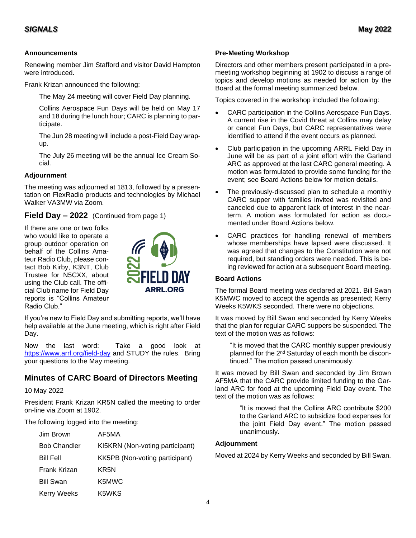#### **Announcements**

Renewing member Jim Stafford and visitor David Hampton were introduced.

Frank Krizan announced the following:

The May 24 meeting will cover Field Day planning.

Collins Aerospace Fun Days will be held on May 17 and 18 during the lunch hour; CARC is planning to participate.

The Jun 28 meeting will include a post-Field Day wrapup.

The July 26 meeting will be the annual Ice Cream Social.

#### **Adjournment**

The meeting was adjourned at 1813, followed by a presentation on FlexRadio products and technologies by Michael Walker VA3MW via Zoom.

**Field Day – 2022** (Continued from page 1)

If there are one or two folks who would like to operate a group outdoor operation on behalf of the Collins Amateur Radio Club, please contact Bob Kirby, K3NT, Club Trustee for N5CXX, about using the Club call. The official Club name for Field Day reports is "Collins Amateur Radio Club."



If you're new to Field Day and submitting reports, we'll have help available at the June meeting, which is right after Field Day.

Now the last word: Take a good look at <https://www.arrl.org/field-day> and STUDY the rules. Bring your questions to the May meeting.

#### **Minutes of CARC Board of Directors Meeting**

10 May 2022

President Frank Krizan KR5N called the meeting to order on-line via Zoom at 1902.

The following logged into the meeting:

| Jim Brown           | AF5MA                           |
|---------------------|---------------------------------|
| <b>Bob Chandler</b> | KI5KRN (Non-voting participant) |
| <b>Bill Fell</b>    | KK5PB (Non-voting participant)  |
| Frank Krizan        | KR5N                            |
| <b>Bill Swan</b>    | K5MWC                           |
| <b>Kerry Weeks</b>  | K5WKS                           |

#### **Pre-Meeting Workshop**

Directors and other members present participated in a premeeting workshop beginning at 1902 to discuss a range of topics and develop motions as needed for action by the Board at the formal meeting summarized below.

Topics covered in the workshop included the following:

- CARC participation in the Collins Aerospace Fun Days. A current rise in the Covid threat at Collins may delay or cancel Fun Days, but CARC representatives were identified to attend if the event occurs as planned.
- Club participation in the upcoming ARRL Field Day in June will be as part of a joint effort with the Garland ARC as approved at the last CARC general meeting. A motion was formulated to provide some funding for the event; see Board Actions below for motion details.
- The previously-discussed plan to schedule a monthly CARC supper with families invited was revisited and canceled due to apparent lack of interest in the nearterm. A motion was formulated for action as documented under Board Actions below.
- CARC practices for handling renewal of members whose memberships have lapsed were discussed. It was agreed that changes to the Constitution were not required, but standing orders were needed. This is being reviewed for action at a subsequent Board meeting.

#### **Board Actions**

The formal Board meeting was declared at 2021. Bill Swan K5MWC moved to accept the agenda as presented; Kerry Weeks K5WKS seconded. There were no objections.

It was moved by Bill Swan and seconded by Kerry Weeks that the plan for regular CARC suppers be suspended. The text of the motion was as follows:

"It is moved that the CARC monthly supper previously planned for the 2nd Saturday of each month be discontinued." The motion passed unanimously.

It was moved by Bill Swan and seconded by Jim Brown AF5MA that the CARC provide limited funding to the Garland ARC for food at the upcoming Field Day event. The text of the motion was as follows:

> "It is moved that the Collins ARC contribute \$200 to the Garland ARC to subsidize food expenses for the joint Field Day event." The motion passed unanimously.

#### **Adjournment**

Moved at 2024 by Kerry Weeks and seconded by Bill Swan.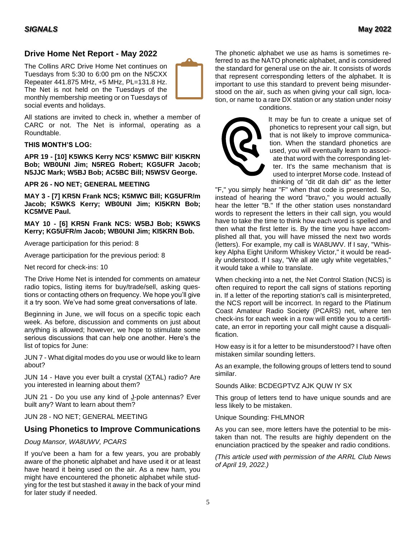#### **Drive Home Net Report - May 2022**

The Collins ARC Drive Home Net continues on Tuesdays from 5:30 to 6:00 pm on the N5CXX Repeater 441.875 MHz, +5 MHz, PL=131.8 Hz. The Net is not held on the Tuesdays of the monthly membership meeting or on Tuesdays of social events and holidays.



All stations are invited to check in, whether a member of CARC or not. The Net is informal, operating as a Roundtable.

#### **THIS MONTH'S LOG:**

**APR 19 - [10] K5WKS Kerry NCS' K5MWC Bill' KI5KRN Bob; WB0UNI Jim; N5REG Robert; KG5UFR Jacob; N5JJC Mark; W5BJ Bob; AC5BC Bill; N5WSV George.**

#### **APR 26 - NO NET; GENERAL MEETING**

**MAY 3 - [7] KR5N Frank NCS; K5MWC Bill; KG5UFR/m Jacob; K5WKS Kerry; WB0UNI Jim; KI5KRN Bob; KC5MVE Paul.**

#### **MAY 10 - [6] KR5N Frank NCS: W5BJ Bob; K5WKS Kerry; KG5UFR/m Jacob; WB0UNI Jim; KI5KRN Bob.**

Average participation for this period: 8

Average participation for the previous period: 8

Net record for check-ins: 10

The Drive Home Net is intended for comments on amateur radio topics, listing items for buy/trade/sell, asking questions or contacting others on frequency. We hope you'll give it a try soon. We've had some great conversations of late.

Beginning in June, we will focus on a specific topic each week. As before, discussion and comments on just about anything is allowed; however, we hope to stimulate some serious discussions that can help one another. Here's the list of topics for June:

JUN 7 - What digital modes do you use or would like to learn about?

JUN 14 - Have you ever built a crystal (XTAL) radio? Are you interested in learning about them?

JUN 21 - Do you use any kind of J-pole antennas? Ever built any? Want to learn about them?

JUN 28 - NO NET; GENERAL MEETING

#### **Using Phonetics to Improve Communications**

#### *Doug Mansor, WA8UWV, PCARS*

If you've been a ham for a few years, you are probably aware of the phonetic alphabet and have used it or at least have heard it being used on the air. As a new ham, you might have encountered the phonetic alphabet while studying for the test but stashed it away in the back of your mind for later study if needed.

The phonetic alphabet we use as hams is sometimes referred to as the NATO phonetic alphabet, and is considered the standard for general use on the air. It consists of words that represent corresponding letters of the alphabet. It is important to use this standard to prevent being misunderstood on the air, such as when giving your call sign, location, or name to a rare DX station or any station under noisy conditions.



It may be fun to create a unique set of phonetics to represent your call sign, but that is not likely to improve communication. When the standard phonetics are used, you will eventually learn to associate that word with the corresponding letter. It's the same mechanism that is used to interpret Morse code. Instead of thinking of "dit dit dah dit" as the letter

"F," you simply hear "F" when that code is presented. So, instead of hearing the word "bravo," you would actually hear the letter "B." If the other station uses nonstandard words to represent the letters in their call sign, you would have to take the time to think how each word is spelled and then what the first letter is. By the time you have accomplished all that, you will have missed the next two words (letters). For example, my call is WA8UWV. If I say, "Whiskey Alpha Eight Uniform Whiskey Victor," it would be readily understood. If I say, "We all ate ugly white vegetables," it would take a while to translate.

When checking into a net, the Net Control Station (NCS) is often required to report the call signs of stations reporting in. If a letter of the reporting station's call is misinterpreted, the NCS report will be incorrect. In regard to the Platinum Coast Amateur Radio Society (PCARS) net, where ten check-ins for each week in a row will entitle you to a certificate, an error in reporting your call might cause a disqualification.

How easy is it for a letter to be misunderstood? I have often mistaken similar sounding letters.

As an example, the following groups of letters tend to sound similar.

Sounds Alike: BCDEGPTVZ AJK QUW IY SX

This group of letters tend to have unique sounds and are less likely to be mistaken.

Unique Sounding: FHLMNOR

As you can see, more letters have the potential to be mistaken than not. The results are highly dependent on the enunciation practiced by the speaker and radio conditions.

*(This article used with permission of the ARRL Club News of April 19, 2022.)*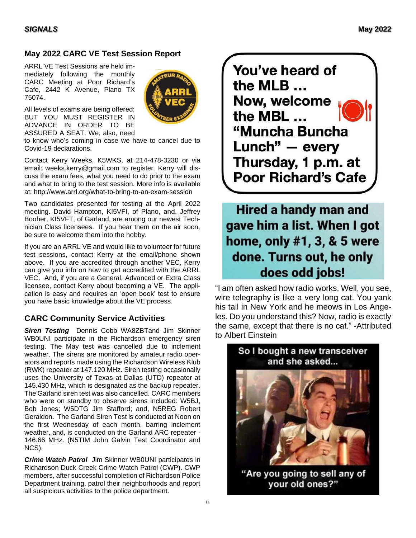#### **May 2022 CARC VE Test Session Report**

ARRL VE Test Sessions are held immediately following the monthly CARC Meeting at Poor Richard's Cafe, 2442 K Avenue, Plano TX 75074.



All levels of exams are being offered; BUT YOU MUST REGISTER IN ADVANCE IN ORDER TO BE ASSURED A SEAT. We, also, need

to know who's coming in case we have to cancel due to Covid-19 declarations.

Contact Kerry Weeks, K5WKS, at 214-478-3230 or via email: weeks.kerry@gmail.com to register. Kerry will discuss the exam fees, what you need to do prior to the exam and what to bring to the test session. More info is available at:<http://www.arrl.org/what-to-bring-to-an-exam-session>

Two candidates presented for testing at the April 2022 meeting. David Hampton, KI5VFI, of Plano, and, Jeffrey Booher, KI5VFT, of Garland, are among our newest Technician Class licensees. If you hear them on the air soon, be sure to welcome them into the hobby.

If you are an ARRL VE and would like to volunteer for future test sessions, contact Kerry at the email/phone shown above. If you are accredited through another VEC, Kerry can give you info on how to get accredited with the ARRL VEC. And, if you are a General, Advanced or Extra Class licensee, contact Kerry about becoming a VE. The application is easy and requires an 'open book' test to ensure you have basic knowledge about the VE process.

#### **CARC Community Service Activities**

*Siren Testing* Dennis Cobb WA8ZBTand Jim Skinner WB0UNI participate in the Richardson emergency siren testing. The May test was cancelled due to inclement weather. The sirens are monitored by amateur radio operators and reports made using the Richardson Wireless Klub (RWK) repeater at 147.120 MHz. Siren testing occasionally uses the University of Texas at Dallas (UTD) repeater at 145.430 MHz, which is designated as the backup repeater. The Garland siren test was also cancelled. CARC members who were on standby to observe sirens included: W5BJ, Bob Jones; W5DTG Jim Stafford; and, N5REG Robert Geraldon. The Garland Siren Test is conducted at Noon on the first Wednesday of each month, barring inclement weather, and, is conducted on the Garland ARC repeater - 146.66 MHz. (N5TIM John Galvin Test Coordinator and NCS).

*Crime Watch Patrol*Jim Skinner WB0UNI participates in Richardson Duck Creek Crime Watch Patrol (CWP). CWP members, after successful completion of Richardson Police Department training, patrol their neighborhoods and report all suspicious activities to the police department.

You've heard of the MLB ... Now, welcome the MBL ... "Muncha Buncha Lunch" - every Thursday, 1 p.m. at **Poor Richard's Cafe** 

**Hired a handy man and** gave him a list. When I got home, only #1, 3, & 5 were done. Turns out, he only does odd jobs!

"I am often asked how radio works. Well, you see, wire telegraphy is like a very long cat. You yank his tail in New York and he meows in Los Angeles. Do you understand this? Now, radio is exactly the same, except that there is no cat." -Attributed to Albert Einstein

So I bought a new transceiver



"Are you going to sell any of your old ones?"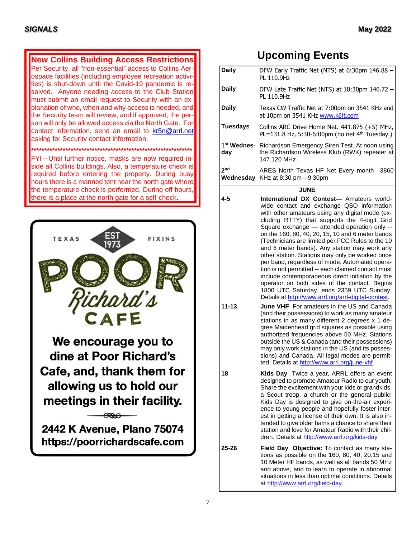**New Collins Building Access Restrictions** Per Security, all "non-essential" access to Collins Aerospace facilities (including employee recreation activities) is shut-down until the Covid-19 pandemic is resolved. Anyone needing access to the Club Station must submit an email request to Security with an explanation of who, when and why access is needed, and the Security team will review, and if approved, the person will only be allowed access via the North Gate. For contact information, send an email to [kr5n@arrl.net](mailto:kr5n@arrl.net) asking for Security contact information. **\*\*\*\*\*\*\*\*\*\*\*\*\*\*\*\*\*\*\*\*\*\*\*\*\*\*\*\*\*\*\*\*\*\*\*\*\*\*\*\*\*\*\*\*\*\*\*\*\*\*\*\*\*\*\*\*\*\*\*\*\*** FYI—Until further notice, masks are now required inside all Collins buildings. Also, a temperature check is required before entering the property. During busy hours there is a manned tent near the north gate where the temperature check is performed. During off hours, there is a place at the north gate for a self-check.



### **Upcoming Events**

| <b>Daily</b>    | DFW Early Traffic Net (NTS) at 6:30pm 146.88<br>PL 110.9Hz                                                                                                                                |  |  |  |  |
|-----------------|-------------------------------------------------------------------------------------------------------------------------------------------------------------------------------------------|--|--|--|--|
| <b>Daily</b>    | DFW Late Traffic Net (NTS) at 10:30pm 146.72<br>PL 110.9Hz                                                                                                                                |  |  |  |  |
| <b>Daily</b>    | Texas CW Traffic Net at 7:00pm on 3541 KHz and<br>at 10pm on 3541 KHz www.k6jt.com                                                                                                        |  |  |  |  |
| <b>Tuesdays</b> | Collins ARC Drive Home Net. 441.875 (+5) MHz,<br>PL=131.8 Hz, 5:30-6:00pm (no net $4th$ Tuesday.)                                                                                         |  |  |  |  |
| day             | 1 <sup>st</sup> Wednes- Richardson Emergency Siren Test. At noon using<br>the Richardson Wireless Klub (RWK) repeater at<br>147.120 MHz.                                                  |  |  |  |  |
| 2 <sub>nd</sub> | ARES North Texas HF Net Every month-3860<br><b>Wednesday</b> KHz at 8:30 pm-9:30pm                                                                                                        |  |  |  |  |
| <b>JUNE</b>     |                                                                                                                                                                                           |  |  |  |  |
| $4 - 5$         | International DX Contest- Amateurs world-<br>wide contact and exchange QSO information<br>with other amateurs using any digital mode (ex-<br>cluding RTTY) that supports the 4-digit Grid |  |  |  |  |

**11-13 June VHF** For amateurs in the US and Canada

**18 Kids Day** Twice a year, ARRL offers an event

**25-26 Field Day Objective:** To contact as many sta-

a[t http://www.arrl.org/field-day.](http://www.arrl.org/field-day)

Square exchange — attended operation only - on the 160, 80, 40, 20, 15, 10 and 6 meter bands (Technicians are limited per FCC Rules to the 10 and 6 meter bands). Any station may work any other station. Stations may only be worked once per band, regardless of mode. Automated operation is not permitted -- each claimed contact must include contemporaneous direct initiation by the operator on both sides of the contact. Begins 1800 UTC Saturday, ends 2359 UTC Sunday. Details at [http://www.arrl.org/arrl-digital-contest.](http://www.arrl.org/arrl-digital-contest)

(and their possessions) to work as many amateur stations in as many different 2 degrees x 1 degree Maidenhead grid squares as possible using authorized frequencies above 50 MHz. Stations outside the US & Canada (and their possessions) may only work stations in the US (and its possessions) and Canada. All legal modes are permitted. Details at<http://www.arrl.org/june-vhf>

designed to promote Amateur Radio to our youth. Share the excitement with your kids or grandkids, a Scout troop, a church or the general public! Kids Day is designed to give on-the-air experience to young people and hopefully foster interest in getting a license of their own. It is also intended to give older hams a chance to share their station and love for Amateur Radio with their children. Details a[t http://www.arrl.org/kids-day](http://www.arrl.org/kids-day)

tions as possible on the 160, 80, 40, 20,15 and 10 Meter HF bands, as well as all bands 50 MHz and above, and to learn to operate in abnormal situations in less than optimal conditions. Details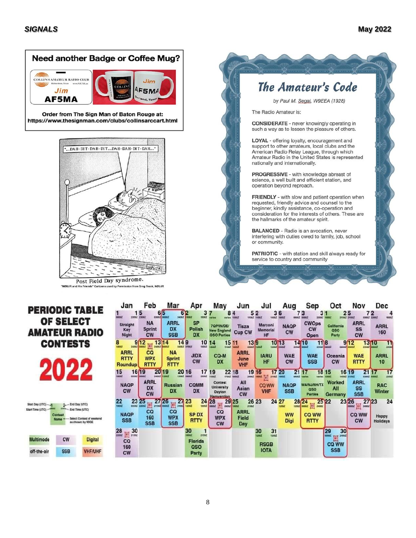### **Need another Badge or Coffee Mug?**



Order from The Sign Man of Baton Rouge at: https://www.thesignman.com/clubs/collinsarccart.html



"NØUJR used by Permission from Greg Trook, NØUJF

Start Time (UTC) -

## The Amateur's Code

by Paul M. Segal, W9EEA (1928)

The Radio Amateur is:

**CONSIDERATE** - never knowingly operating in such a way as to lessen the pleasure of others.

LOYAL - offering loyalty, encouragement and support to other amateurs, local clubs and the American Radio Relay League, through which Amateur Radio in the United States is represented nationally and internationally.

PROGRESSIVE - with knowledge abreast of science, a well built and efficient station, and operation beyond reproach.

FRIENDLY - with slow and patient operation when requested, friendly advice and counsel to the beginner, kindly assistance, co-operation and consideration for the interests of others. These are the hallmarks of the amateur spirit.

**BALANCED** - Radio is an avocation, never interfering with duties owed to family, job, school or community.

PATRIOTIC - with station and skill always ready for service to country and community

| <b>PERIODIC TABLE</b>                    |                                                      |                                                       | Jan                                   | Feb<br>15<br>6/5<br>22552 23002<br>G30GZ     | Mar<br>6 <sup>2</sup><br>2400Z VSOOZ        | Apr<br>3<br>15002                   | May<br>8                                                      | Jun<br>52<br><b>TEST</b>           | Jul                             | Aug<br>36<br>14007 18007    | Sep<br>31<br>8<br>23597                     | Oct                               | Nov<br>25<br>21592 2100Z<br>$m_{\rm H}$              | Dec<br>72<br>22002<br>10002     |
|------------------------------------------|------------------------------------------------------|-------------------------------------------------------|---------------------------------------|----------------------------------------------|---------------------------------------------|-------------------------------------|---------------------------------------------------------------|------------------------------------|---------------------------------|-----------------------------|---------------------------------------------|-----------------------------------|------------------------------------------------------|---------------------------------|
| <b>OF SELECT</b><br><b>AMATEUR RADIO</b> |                                                      |                                                       | <b>Straight</b><br>Key<br>Night       | <b>NA</b><br><b>Sprint</b><br><b>CW</b>      | <b>ARRL</b><br><b>DX</b><br><b>SSB</b>      | <b>SP</b><br>Polish<br>DX           | <b>7QP/IN/DE/</b><br><b>New England</b><br><b>QSO Parties</b> | Tisza<br><b>Cup CW</b>             | Marconi<br>Memorial<br>HF       | <b>NAQP</b><br><b>CW</b>    | <b>CWOps</b><br><b>CW</b><br>Open           | California<br><b>QSO</b><br>Party | <b>ARRL</b><br><b>SS</b><br><b>CW</b>                | <b>ARRL</b><br>160              |
| <b>CONTESTS</b>                          |                                                      |                                                       | 9                                     | 12<br>圓<br><b>340SZ BOOSZ</b><br>34002 20002 | 13 14<br>149                                | 10<br>13002<br><b>BADDZ BTOOL</b>   | 14<br>11562 18002<br><b>Paint</b>                             | 139<br>15 11<br>E3002 12002        | 12062                           | 1013<br>22582               | 118<br>1410                                 | 235N2 5800Z<br><b>Report</b>      | 9/12<br>23592 20002<br><b>UCIDE2</b>                 | 1310<br>2356                    |
|                                          |                                                      |                                                       | <b>ARRL</b><br><b>RTTY</b><br>Roundup | <b>CO</b><br><b>WPX</b><br><b>RTTY</b>       | <b>NA</b><br><b>Sprint</b><br><b>RTTY</b>   | <b>JIDX</b><br><b>CW</b>            | CQ-M<br><b>DX</b>                                             | <b>ARRL</b><br>June<br><b>VHF</b>  | <b>IARU</b><br>HF               | <b>WAE</b><br><b>CW</b>     | <b>WAE</b><br><b>SSB</b>                    | Oceania<br><b>CW</b>              | <b>WAE</b><br><b>RTTY</b>                            | <b>ARRL</b><br>10               |
|                                          |                                                      |                                                       | 15<br>16<br>033WZ 0006Z<br>6002       | 19<br>20<br><b>BADILE 1200Z</b>              | 19                                          | 17<br>20 16<br>23182<br>12062 88002 | 19<br>17002 00002                                             | 22 18<br>19<br>2400Z               | 16<br>圓<br>21002 19002<br>18002 | 17 20<br>21<br><b>Scool</b> | varies:                                     | 18 15<br>16                       | 21 17<br>19<br>14592 21002<br>03002 00002            | 17<br>2350                      |
|                                          |                                                      |                                                       | <b>NAQP</b><br><b>CW</b>              | <b>ARRL</b><br><b>DX</b><br><b>CW</b>        | <b>Russian</b><br><b>DX</b>                 | <b>COMM</b><br>DX                   | <b>Contest</b><br><b>University</b><br>Dayton<br>Hamvention   | All<br>Asian<br><b>CW</b>          | CQ WW<br><b>VHF</b>             | <b>NAQP</b><br><b>SSB</b>   | <b>WA/NJ/NH/TX</b><br><b>QSO</b><br>Parties | Worked<br>All<br>Germany          | <b>ARRL</b><br><b>SS</b><br><b>SSB</b>               | <b>RAC</b><br><b>Winter</b>     |
| Start Day (UTC)-3<br>itan Time (UTC)     | 2. End Day (UTC)<br><b>JIMES4</b><br>-End Time (UTC) |                                                       | 23 25                                 | EL TIME GOOD<br>10002 22002                  | 27 26<br>$\mathbb{Z}$ <sup>27</sup> $^{23}$ | 12002                               | 24/28<br>$100$ 24002 18002<br>00002                           | 29 25<br>21002                     | 26 23                           | 24 27<br>12082              | 28/24<br>$\boxed{1}$ 2400Z<br>12082100002   | 25 22                             | 23 26<br>2723<br>$\boxed{0}$<br><b>DOOR</b><br>24002 | 24                              |
| Contest<br>Name                          |                                                      | <b>Gelect Contest of weekend</b><br>as chosen by N3QE | <b>NAQP</b><br><b>SSB</b>             | ca<br>160<br><b>SSB</b>                      | <b>CQ</b><br><b>WPX</b><br><b>SSB</b>       | <b>SPDX</b><br>RTTY                 | CQ<br><b>WPX</b><br><b>CW</b>                                 | <b>ARRL</b><br><b>Field</b><br>Day |                                 | <b>WW</b><br>Digi           | <b>CQ WW</b><br><b>RTTY</b>                 |                                   | <b>CQ WW</b><br><b>CW</b>                            | <b>Happy</b><br><b>Holidays</b> |
|                                          |                                                      |                                                       | $\frac{28}{2002}$ $\frac{30}{21502}$  |                                              |                                             | 30<br>21992                         |                                                               |                                    | 31<br>30<br>12002<br>12002      |                             |                                             | $\frac{29}{20}$<br>圆.30           |                                                      |                                 |
| <b>Multimode</b>                         | <b>CW</b>                                            | <b>Digital</b>                                        | $_{\rm co}$<br>160                    |                                              |                                             | Florida<br>QSO                      |                                                               |                                    | <b>RSGB</b>                     |                             |                                             | <b>CQ WW</b>                      |                                                      |                                 |
| off-the-air                              | <b>SSB</b>                                           | <b>VHF/UHF</b>                                        | <b>CW</b>                             |                                              |                                             | Party                               |                                                               |                                    | <b>IOTA</b>                     |                             |                                             | <b>SSB</b>                        |                                                      |                                 |